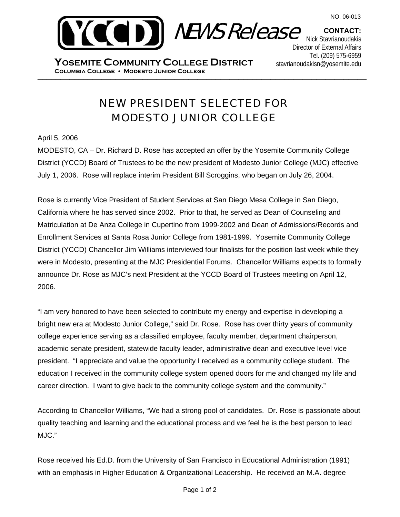

**CONTACT:** Nick Stavrianoudakis Director of External Affairs Tel. (209) 575-6959 stavrianoudakisn@yosemite.edu

\_\_\_\_\_\_\_\_\_\_\_\_\_\_\_\_\_\_\_\_\_\_\_\_\_\_\_\_\_\_\_\_\_\_\_\_\_\_\_\_\_\_\_\_\_\_\_\_\_\_\_\_\_\_\_\_\_\_\_\_\_\_\_\_\_\_\_\_\_\_\_\_ **Columbia College Modesto Junior College YOSEMITE COMMUNITY COLLEGE DISTRICT**

## NEW PRESIDENT SELECTED FOR MODESTO JUNIOR COLLEGE

## April 5, 2006

MODESTO, CA – Dr. Richard D. Rose has accepted an offer by the Yosemite Community College District (YCCD) Board of Trustees to be the new president of Modesto Junior College (MJC) effective July 1, 2006. Rose will replace interim President Bill Scroggins, who began on July 26, 2004.

Rose is currently Vice President of Student Services at San Diego Mesa College in San Diego, California where he has served since 2002. Prior to that, he served as Dean of Counseling and Matriculation at De Anza College in Cupertino from 1999-2002 and Dean of Admissions/Records and Enrollment Services at Santa Rosa Junior College from 1981-1999. Yosemite Community College District (YCCD) Chancellor Jim Williams interviewed four finalists for the position last week while they were in Modesto, presenting at the MJC Presidential Forums. Chancellor Williams expects to formally announce Dr. Rose as MJC's next President at the YCCD Board of Trustees meeting on April 12, 2006.

"I am very honored to have been selected to contribute my energy and expertise in developing a bright new era at Modesto Junior College," said Dr. Rose. Rose has over thirty years of community college experience serving as a classified employee, faculty member, department chairperson, academic senate president, statewide faculty leader, administrative dean and executive level vice president. "I appreciate and value the opportunity I received as a community college student. The education I received in the community college system opened doors for me and changed my life and career direction. I want to give back to the community college system and the community."

According to Chancellor Williams, "We had a strong pool of candidates. Dr. Rose is passionate about quality teaching and learning and the educational process and we feel he is the best person to lead MJC."

Rose received his Ed.D. from the University of San Francisco in Educational Administration (1991) with an emphasis in Higher Education & Organizational Leadership. He received an M.A. degree